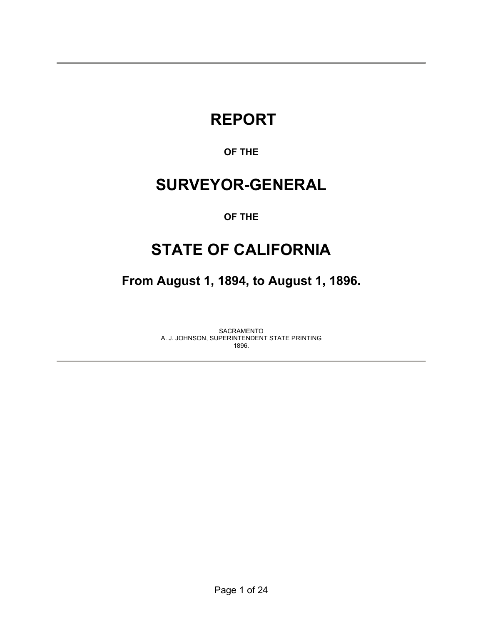# **REPORT**

## **OF THE**

## **SURVEYOR-GENERAL**

### **OF THE**

## **STATE OF CALIFORNIA**

**From August 1, 1894, to August 1, 1896.** 

SACRAMENTO A. J. JOHNSON, SUPERINTENDENT STATE PRINTING 1896.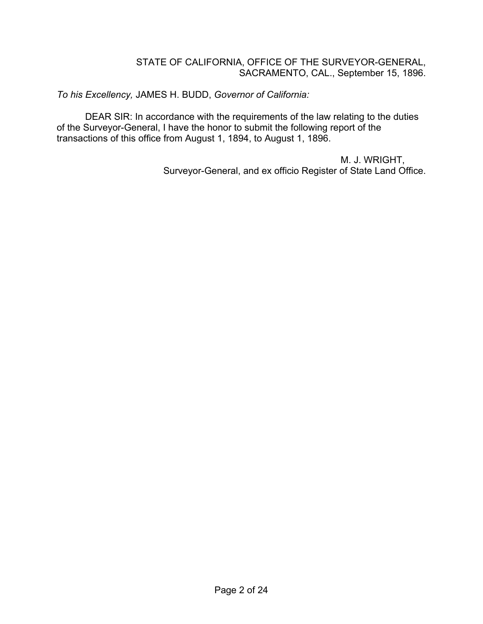#### STATE OF CALIFORNIA, OFFICE OF THE SURVEYOR-GENERAL, SACRAMENTO, CAL., September 15, 1896.

*To his Excellency,* JAMES H. BUDD, *Governor of California:*

DEAR SIR: In accordance with the requirements of the law relating to the duties of the Surveyor-General, I have the honor to submit the following report of the transactions of this office from August 1, 1894, to August 1, 1896.

> M. J. WRIGHT, Surveyor-General, and ex officio Register of State Land Office.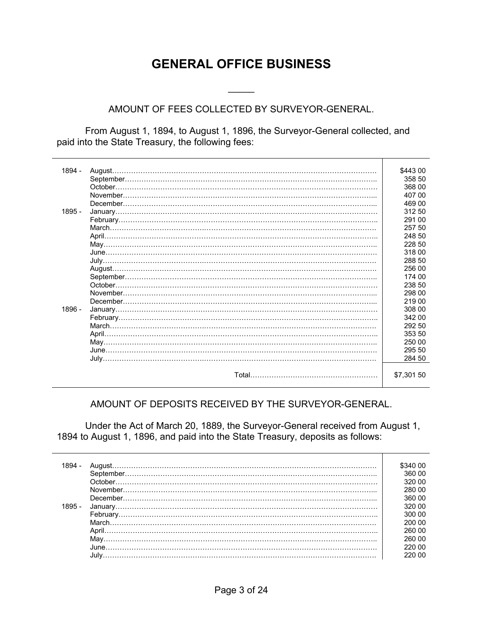## **GENERAL OFFICE BUSINESS**

#### AMOUNT OF FEES COLLECTED BY SURVEYOR-GENERAL.

 $\frac{1}{2}$ 

 From August 1, 1894, to August 1, 1896, the Surveyor-General collected, and paid into the State Treasury, the following fees:

| 1894 - |          | \$443 00   |
|--------|----------|------------|
|        |          | 358 50     |
|        |          | 368 00     |
|        |          | 407 00     |
|        |          | 469 00     |
| 1895 - |          | 312 50     |
|        |          | 291 00     |
|        |          | 257 50     |
|        |          | 248 50     |
|        |          | 228 50     |
|        |          | 318 00     |
|        |          | 288 50     |
|        |          | 256 00     |
|        |          | 174 00     |
|        | October. | 238 50     |
|        |          | 298 00     |
|        |          | 219 00     |
| 1896 - |          | 308 00     |
|        |          | 342 00     |
|        |          | 292 50     |
|        |          | 353 50     |
|        |          | 250 00     |
|        |          | 295 50     |
|        |          | 284 50     |
|        |          |            |
|        |          | \$7,301 50 |
|        |          |            |

#### AMOUNT OF DEPOSITS RECEIVED BY THE SURVEYOR-GENERAL.

 Under the Act of March 20, 1889, the Surveyor-General received from August 1, 1894 to August 1, 1896, and paid into the State Treasury, deposits as follows:

|        | 00 1340∵ |
|--------|----------|
|        | 360.00   |
|        | 320.00   |
|        | 280.00   |
|        | 360.00   |
| 1895 - | 320.00   |
|        | 300.00   |
|        | 200.00   |
|        | 260.00   |
|        | 260.00   |
|        | 220.00   |
|        | 220 00   |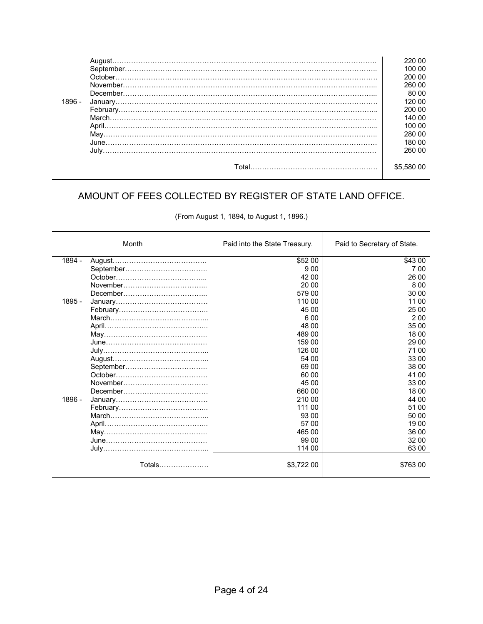|          | August. | 220 00  |
|----------|---------|---------|
|          |         | 100 00  |
|          |         | 200 00  |
|          |         | 260 00  |
|          |         | 80 00   |
| $1896 -$ |         | 120.00  |
|          |         | 200 00  |
|          |         | 140 00  |
|          |         | 100.00  |
|          |         | 280.00  |
|          |         | 180.00  |
|          |         | 260 00  |
|          |         |         |
|          | Total   | \$5.580 |
|          |         |         |

## AMOUNT OF FEES COLLECTED BY REGISTER OF STATE LAND OFFICE.

| (From August 1, 1894, to August 1, 1896.) |  |  |  |
|-------------------------------------------|--|--|--|
|-------------------------------------------|--|--|--|

|        | Month  | Paid into the State Treasury. | Paid to Secretary of State. |
|--------|--------|-------------------------------|-----------------------------|
| 1894 - |        | \$52 00                       | \$43 00                     |
|        |        | 9 0 0                         | 7 0 0                       |
|        |        | 42 00                         | 26 00                       |
|        |        | 20 00                         | 800                         |
|        |        | 579 00                        | 30 00                       |
| 1895 - |        | 110 00                        | 11 00                       |
|        |        | 45 00                         | 25 00                       |
|        |        | 6 0 0                         | 200                         |
|        |        | 48 00                         | 35 00                       |
|        |        | 489 00                        | 18 00                       |
|        |        | 159 00                        | 29 00                       |
|        |        | 126 00                        | 71 00                       |
|        |        | 54 00                         | 33 00                       |
|        |        | 69 00                         | 38 00                       |
|        |        | 60 00                         | 41 00                       |
|        |        | 45 00                         | 33 00                       |
|        |        | 660 00                        | 18 00                       |
| 1896 - |        | 210 00                        | 44 00                       |
|        |        | 111 00                        | 51 00                       |
|        |        | 93 00                         | 50 00                       |
|        |        | 57 00                         | 19 00                       |
|        |        | 465 00                        | 36 00                       |
|        |        | 99 00                         | 32 00                       |
|        |        | 114 00                        | 63 00                       |
|        | Totals | \$3,722 00                    | \$763 00                    |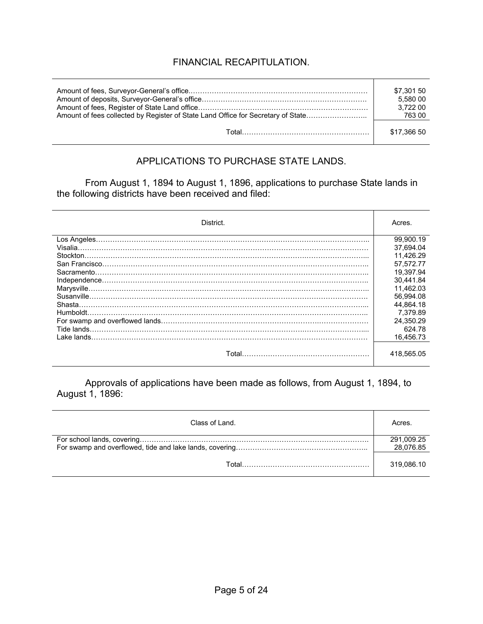## FINANCIAL RECAPITULATION.

|                                                                                  | \$7,301 50  |
|----------------------------------------------------------------------------------|-------------|
|                                                                                  | 5.580 00    |
|                                                                                  | 3.722 00    |
| Amount of fees collected by Register of State Land Office for Secretary of State | 763 00      |
| rotal……………………………………………………                                                        | \$17.366 50 |

#### APPLICATIONS TO PURCHASE STATE LANDS.

From August 1, 1894 to August 1, 1896, applications to purchase State lands in the following districts have been received and filed:

| District.   | Acres.     |
|-------------|------------|
|             | 99.900.19  |
| Visalia     | 37.694.04  |
| Stockton.   | 11.426.29  |
|             | 57.572.77  |
| Sacramento. | 19.397.94  |
|             | 30.441.84  |
|             | 11.462.03  |
|             | 56.994.08  |
| Shasta.     | 44.864.18  |
|             | 7.379.89   |
|             | 24.350.29  |
| Tide lands. | 624.78     |
| Lake lands. | 16.456.73  |
| Total.      | 418,565.05 |

Approvals of applications have been made as follows, from August 1, 1894, to August 1, 1896:

| Class of Land. | Acres.                  |
|----------------|-------------------------|
|                | 291,009.25<br>28,076.85 |
| Total          | 319,086.10              |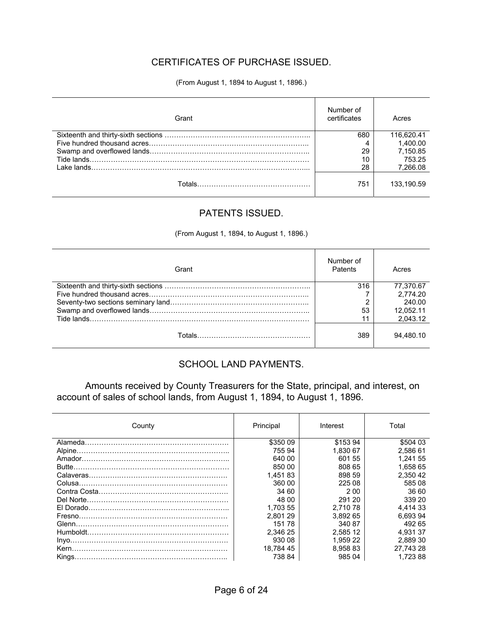## CERTIFICATES OF PURCHASE ISSUED.

#### (From August 1, 1894 to August 1, 1896.)

| Grant | Number of<br>certificates | Acres      |
|-------|---------------------------|------------|
|       | 680                       | 116.620.41 |
|       |                           | 1.400.00   |
|       | 29                        | 7,150.85   |
|       | 10                        | 753.25     |
|       | 28                        | 7.266.08   |
|       | 751                       | 133.190.59 |

#### PATENTS ISSUED.

(From August 1, 1894, to August 1, 1896.)

| Grant | Number of<br>Patents | Acres     |
|-------|----------------------|-----------|
|       | 316                  | 77.370.67 |
|       |                      | 2.774.20  |
|       | ◠                    | 240.00    |
|       | 53                   | 12.052.11 |
|       | 11                   | 2,043.12  |
|       | 389                  | 94.480.10 |

#### SCHOOL LAND PAYMENTS.

Amounts received by County Treasurers for the State, principal, and interest, on account of sales of school lands, from August 1, 1894, to August 1, 1896.

| County | Principal | Interest | Total     |
|--------|-----------|----------|-----------|
|        | \$350 09  | \$15394  | \$504 03  |
|        | 755 94    | 1.830 67 | 2.586 61  |
|        | 640 00    | 601 55   | 1.241 55  |
|        | 850 00    | 808 65   | 1.658 65  |
|        | 1.45183   | 898 59   | 2,350 42  |
|        | 360 00    | 225 08   | 585 08    |
|        | 34 60     | 2.00     | 36.60     |
|        | 48 00     | 291 20   | 339 20    |
|        | 1.703 55  | 2.710 78 | 4.414 33  |
|        | 2.801 29  | 3.892 65 | 6.693 94  |
|        | 15178     | 340 87   | 492 65    |
|        | 2.346 25  | 2.585 12 | 4.93137   |
|        | 930 08    | 1.959 22 | 2.889 30  |
|        | 18.784 45 | 8.958 83 | 27.743 28 |
|        | 738 84    | 985 04   | 1.72388   |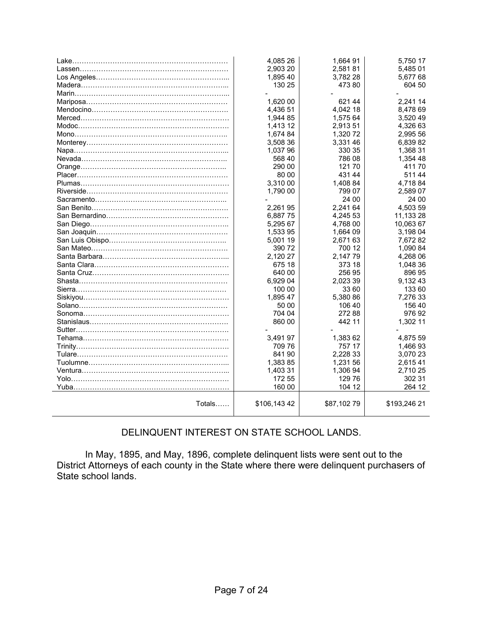|        | 4.085 26    | 1.664 91   | 5.750 17     |
|--------|-------------|------------|--------------|
|        | 2,903 20    | 2,58181    | 5,485 01     |
|        | 1,895 40    | 3,782 28   | 5,677 68     |
|        | 130 25      | 473 80     | 604 50       |
|        |             |            |              |
|        | 1,620 00    | 621 44     | 2,241 14     |
|        | 4,436 51    | 4,042 18   | 8,478 69     |
|        | 1,944 85    | 1,575 64   | 3,520 49     |
|        | 1,413 12    | 2,913 51   | 4,326 63     |
|        | 1,674 84    | 1,320 72   | 2,995 56     |
|        | 3,508 36    | 3,331 46   | 6,839 82     |
|        | 1,037 96    | 330 35     | 1,368 31     |
|        | 568 40      | 786 08     | 1,354 48     |
|        | 290 00      | 12170      | 41170        |
|        | 80 00       | 431 44     | 511 44       |
|        | 3,310 00    | 1,408 84   | 4,718 84     |
|        | 1,790 00    | 799 07     | 2,589 07     |
|        |             | 24 00      | 24 00        |
|        | 2,26195     | 2.241 64   | 4,503 59     |
|        | 6,88775     | 4,245 53   | 11,133 28    |
|        | 5,295 67    | 4,768 00   | 10,063 67    |
|        | 1,533 95    | 1,664 09   | 3,198 04     |
|        | 5,001 19    | 2,671 63   | 7,672 82     |
|        | 390 72      | 700 12     | 1,090 84     |
|        | 2,120 27    | 2,14779    | 4,268 06     |
|        | 675 18      | 373 18     | 1,048 36     |
|        | 640 00      | 256 95     | 896 95       |
|        | 6,929 04    | 2,023 39   | 9,132 43     |
|        | 100 00      | 33 60      | 133 60       |
|        | 1,895 47    | 5,380 86   | 7,276 33     |
|        | 50 00       | 106 40     | 156 40       |
|        | 704 04      | 27288      | 97692        |
|        | 860 00      | 442 11     | 1,302 11     |
|        |             |            |              |
|        | 3,491 97    | 1,383 62   | 4.875 59     |
|        | 709 76      | 757 17     | 1,466 93     |
|        | 84190       | 2,228 33   | 3,070 23     |
|        | 1,383 85    | 1,231 56   | 2,615 41     |
|        | 1,403 31    | 1,306 94   | 2,710 25     |
|        | 172 55      | 129 76     | 302 31       |
|        | 160 00      | 104 12     | 264 12       |
| Totals | \$106,14342 | \$87,10279 | \$193,246 21 |
|        |             |            |              |

## DELINQUENT INTEREST ON STATE SCHOOL LANDS.

 In May, 1895, and May, 1896, complete delinquent lists were sent out to the District Attorneys of each county in the State where there were delinquent purchasers of State school lands.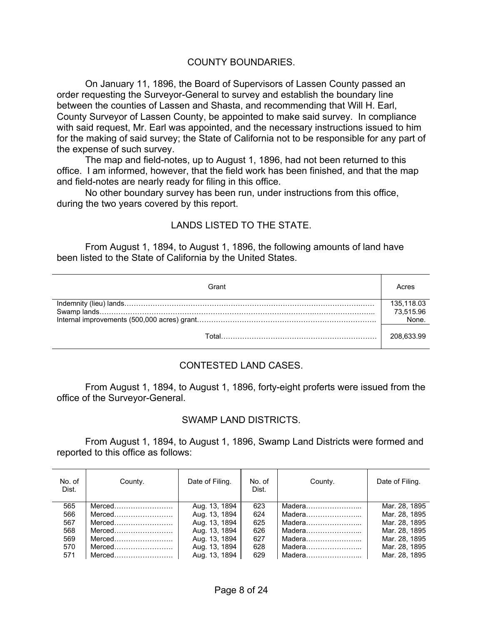#### COUNTY BOUNDARIES.

 On January 11, 1896, the Board of Supervisors of Lassen County passed an order requesting the Surveyor-General to survey and establish the boundary line between the counties of Lassen and Shasta, and recommending that Will H. Earl, County Surveyor of Lassen County, be appointed to make said survey. In compliance with said request, Mr. Earl was appointed, and the necessary instructions issued to him for the making of said survey; the State of California not to be responsible for any part of the expense of such survey.

 The map and field-notes, up to August 1, 1896, had not been returned to this office. I am informed, however, that the field work has been finished, and that the map and field-notes are nearly ready for filing in this office.

 No other boundary survey has been run, under instructions from this office, during the two years covered by this report.

#### LANDS LISTED TO THE STATE.

 From August 1, 1894, to August 1, 1896, the following amounts of land have been listed to the State of California by the United States.

| Grant | cres       |
|-------|------------|
|       | 135,118.03 |
|       | 73,515.96  |
|       | None.      |
|       | 208.633.99 |

#### CONTESTED LAND CASES.

 From August 1, 1894, to August 1, 1896, forty-eight proferts were issued from the office of the Surveyor-General.

#### SWAMP LAND DISTRICTS.

 From August 1, 1894, to August 1, 1896, Swamp Land Districts were formed and reported to this office as follows:

| No. of<br>Dist. | County. | Date of Filing. | No. of<br>Dist. | County. | Date of Filing. |
|-----------------|---------|-----------------|-----------------|---------|-----------------|
| 565             |         | Aug. 13, 1894   | 623             |         | Mar. 28, 1895   |
| 566             |         | Aug. 13, 1894   | 624             |         | Mar. 28, 1895   |
| 567             | Merced  | Aug. 13, 1894   | 625             | Madera  | Mar. 28, 1895   |
| 568             | Merced  | Aug. 13, 1894   | 626             | Madera  | Mar. 28, 1895   |
| 569             |         | Aug. 13, 1894   | 627             | Madera  | Mar. 28, 1895   |
| 570             | Merced  | Aug. 13, 1894   | 628             | Madera  | Mar. 28, 1895   |
| 571             |         | Aug. 13, 1894   | 629             | Madera  | Mar. 28, 1895   |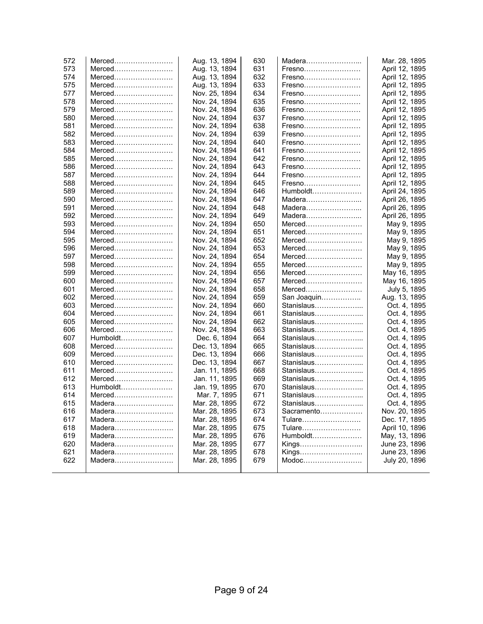| 572 | Merced                           | Aug. 13, 1894 | 630 | Madera      | Mar. 28, 1895  |
|-----|----------------------------------|---------------|-----|-------------|----------------|
| 573 | Merced                           | Aug. 13, 1894 | 631 | Fresno      | April 12, 1895 |
| 574 | Merced                           | Aug. 13, 1894 | 632 | Fresno      | April 12, 1895 |
| 575 | Merced                           | Aug. 13, 1894 | 633 | Fresno      | April 12, 1895 |
| 577 | Merced                           | Nov. 25, 1894 | 634 | Fresno      | April 12, 1895 |
| 578 | Merced                           | Nov. 24, 1894 | 635 | Fresno      | April 12, 1895 |
| 579 | Merced                           | Nov. 24, 1894 | 636 | Fresno      | April 12, 1895 |
| 580 | Merced                           | Nov. 24, 1894 | 637 | Fresno      | April 12, 1895 |
| 581 | Merced                           | Nov. 24, 1894 | 638 | Fresno      | April 12, 1895 |
| 582 | Merced                           | Nov. 24, 1894 | 639 | Fresno      | April 12, 1895 |
| 583 | Merced                           | Nov. 24, 1894 | 640 | Fresno      | April 12, 1895 |
| 584 | Merced                           | Nov. 24, 1894 | 641 | Fresno      | April 12, 1895 |
| 585 | $Merced$                         | Nov. 24, 1894 | 642 | Fresno      | April 12, 1895 |
| 586 | Merced                           | Nov. 24, 1894 | 643 | Fresno      | April 12, 1895 |
| 587 | $Merced$                         | Nov. 24, 1894 | 644 | Fresno      | April 12, 1895 |
| 588 | Merced                           | Nov. 24, 1894 | 645 | Fresno      | April 12, 1895 |
| 589 | Merced                           | Nov. 24, 1894 | 646 | Humboldt    | April 24, 1895 |
| 590 | Merced                           | Nov. 24, 1894 | 647 | Madera      | April 26, 1895 |
| 591 | Merced                           | Nov. 24, 1894 | 648 | Madera      | April 26, 1895 |
| 592 | Merced                           | Nov. 24, 1894 | 649 | Madera      | April 26, 1895 |
| 593 | Merced                           | Nov. 24, 1894 | 650 | Merced      | May 9, 1895    |
| 594 | Merced                           | Nov. 24, 1894 | 651 | Merced      | May 9, 1895    |
| 595 | Merced                           | Nov. 24, 1894 | 652 | Merced      | May 9, 1895    |
| 596 | Merced                           | Nov. 24, 1894 | 653 | $Merced$    | May 9, 1895    |
| 597 | Merced                           | Nov. 24, 1894 | 654 | Merced      | May 9, 1895    |
| 598 | $Merced$                         | Nov. 24, 1894 | 655 | $Merced$    | May 9, 1895    |
| 599 | $Merced$                         | Nov. 24, 1894 | 656 | $Merced$    | May 16, 1895   |
| 600 | Merced                           | Nov. 24, 1894 | 657 | Merced      | May 16, 1895   |
| 601 | Merced                           | Nov. 24, 1894 | 658 | Merced      | July 5, 1895   |
| 602 | Merced                           | Nov. 24, 1894 | 659 | San Joaquin | Aug. 13, 1895  |
| 603 | Merced                           | Nov. 24, 1894 | 660 | Stanislaus  | Oct. 4, 1895   |
| 604 | Merced                           | Nov. 24, 1894 | 661 | Stanislaus  | Oct. 4, 1895   |
| 605 | Merced                           | Nov. 24, 1894 | 662 | Stanislaus  | Oct. 4, 1895   |
| 606 | Merced                           | Nov. 24, 1894 | 663 | Stanislaus  | Oct. 4, 1895   |
| 607 | Humboldt                         | Dec. 6, 1894  | 664 | Stanislaus  | Oct. 4, 1895   |
| 608 | Merced                           | Dec. 13, 1894 | 665 | Stanislaus  | Oct. 4, 1895   |
| 609 | Merced                           | Dec. 13, 1894 | 666 | Stanislaus  | Oct. 4, 1895   |
| 610 | Merced                           | Dec. 13, 1894 | 667 | Stanislaus  | Oct. 4, 1895   |
| 611 | Merced                           | Jan. 11, 1895 | 668 | Stanislaus  | Oct. 4, 1895   |
| 612 | Merced                           | Jan. 11, 1895 | 669 | Stanislaus  | Oct. 4, 1895   |
| 613 | Humboldt                         | Jan. 19, 1895 | 670 | Stanislaus  | Oct. 4, 1895   |
| 614 | Merced                           | Mar. 7, 1895  | 671 | Stanislaus  | Oct. 4, 1895   |
| 615 | Madera                           | Mar. 28, 1895 | 672 | Stanislaus  | Oct. 4, 1895   |
| 616 | Madera                           | Mar. 28, 1895 | 673 | Sacramento  | Nov. 20, 1895  |
| 617 | Madera                           | Mar. 28, 1895 | 674 | Tulare      | Dec. 17, 1895  |
| 618 | Madera                           | Mar. 28, 1895 | 675 | Tulare      | April 10, 1896 |
| 619 | Madera                           | Mar. 28, 1895 | 676 | Humboldt    | May, 13, 1896  |
| 620 | Madera                           | Mar. 28, 1895 | 677 | Kings       | June 23, 1896  |
| 621 | $Madera \ldots  \ldots  \ldots $ | Mar. 28, 1895 | 678 | Kings       | June 23, 1896  |
| 622 | Madera                           | Mar. 28, 1895 | 679 | Modoc       | July 20, 1896  |
|     |                                  |               |     |             |                |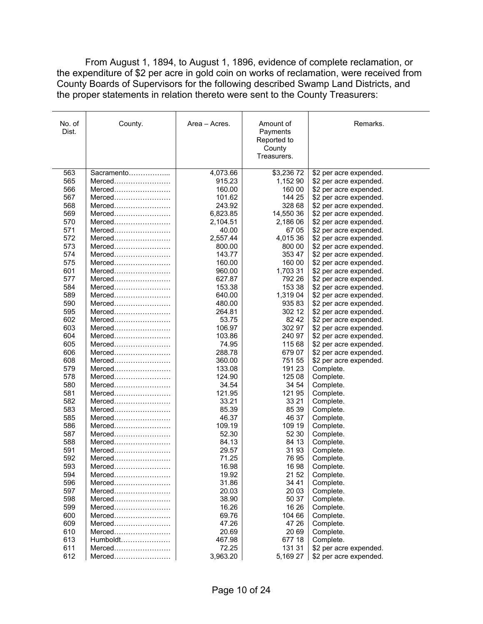From August 1, 1894, to August 1, 1896, evidence of complete reclamation, or the expenditure of \$2 per acre in gold coin on works of reclamation, were received from County Boards of Supervisors for the following described Swamp Land Districts, and the proper statements in relation thereto were sent to the County Treasurers:

| No. of<br>Dist. | County.          | Area – Acres.    | Amount of<br>Payments<br>Reported to<br>County<br>Treasurers. | Remarks.                                         |
|-----------------|------------------|------------------|---------------------------------------------------------------|--------------------------------------------------|
| 563             | Sacramento       | 4,073.66         | \$3,23672                                                     | \$2 per acre expended.                           |
| 565             | Merced           | 915.23           | 1,152 90                                                      | \$2 per acre expended.                           |
| 566             | Merced           | 160.00           | 160 00                                                        | \$2 per acre expended.                           |
| 567             | Merced           | 101.62           | 144 25                                                        | \$2 per acre expended.                           |
| 568             | $Merced$         | 243.92           | 328 68                                                        | \$2 per acre expended.                           |
| 569             | Merced           | 6,823.85         | 14,550 36                                                     | \$2 per acre expended.                           |
| 570             | Merced           | 2,104.51         | 2,186 06                                                      | \$2 per acre expended.                           |
| 571             | Merced           | 40.00            | 67 05                                                         | \$2 per acre expended.                           |
| 572             | Merced           | 2,557.44         | 4,015 36                                                      | \$2 per acre expended.                           |
| 573             | Merced           | 800.00           | 800 00                                                        | \$2 per acre expended.                           |
| 574             | Merced           | 143.77           | 353 47                                                        | \$2 per acre expended.                           |
| 575<br>601      | Merced           | 160.00<br>960.00 | 160 00<br>1,703 31                                            | \$2 per acre expended.                           |
| 577             | Merced<br>Merced | 627.87           | 792 26                                                        | \$2 per acre expended.                           |
| 584             | $Merced$         | 153.38           | 153 38                                                        | \$2 per acre expended.                           |
| 589             | Merced           | 640.00           | 1,319 04                                                      | \$2 per acre expended.<br>\$2 per acre expended. |
| 590             | Merced           | 480.00           | 93583                                                         | \$2 per acre expended.                           |
| 595             | Merced           | 264.81           | 302 12                                                        | \$2 per acre expended.                           |
| 602             | Merced           | 53.75            | 82 42                                                         | \$2 per acre expended.                           |
| 603             | Merced           | 106.97           | 302 97                                                        | \$2 per acre expended.                           |
| 604             | Merced           | 103.86           | 240 97                                                        | \$2 per acre expended.                           |
| 605             | Merced           | 74.95            | 115 68                                                        | \$2 per acre expended.                           |
| 606             | Merced           | 288.78           | 679 07                                                        | \$2 per acre expended.                           |
| 608             | Merced           | 360.00           | 751 55                                                        | \$2 per acre expended.                           |
| 579             | Merced           | 133.08           | 191 23                                                        | Complete.                                        |
| 578             | Merced           | 124.90           | 125 08                                                        | Complete.                                        |
| 580             |                  | 34.54            | 34 54                                                         | Complete.                                        |
| 581             | Merced           | 121.95           | 121 95                                                        | Complete.                                        |
| 582             | Merced           | 33.21            | 33 21                                                         | Complete.                                        |
| 583             | Merced           | 85.39            | 85 39                                                         | Complete.                                        |
| 585             | Merced           | 46.37            | 46 37                                                         | Complete.                                        |
| 586             | Merced           | 109.19           | 109 19                                                        | Complete.                                        |
| 587             | Merced           | 52.30            | 52 30                                                         | Complete.                                        |
| 588             |                  | 84.13            | 84 13                                                         | Complete.                                        |
| 591             | Merced           | 29.57            | 3193                                                          | Complete.                                        |
| 592             | Merced           | 71.25            | 76 95                                                         | Complete.                                        |
| 593<br>594      | Merced           | 16.98            | 1698                                                          | Complete.                                        |
| 596             | Merced           | 19.92<br>31.86   | 21 52<br>34 41                                                | Complete.<br>Complete.                           |
| 597             | Merced           | 20.03            | 20 03                                                         | Complete.                                        |
| 598             | Merced           | 38.90            | 50 37                                                         | Complete.                                        |
| 599             | Merced           | 16.26            | 16 26                                                         | Complete.                                        |
| 600             | Merced           | 69.76            | 104 66                                                        | Complete.                                        |
| 609             | Merced           | 47.26            | 47 26                                                         | Complete.                                        |
| 610             | Merced           | 20.69            | 20 69                                                         | Complete.                                        |
| 613             | Humboldt         | 467.98           | 677 18                                                        | Complete.                                        |
| 611             | Merced           | 72.25            | 131 31                                                        | \$2 per acre expended.                           |
| 612             |                  | 3,963.20         | 5,169 27                                                      | \$2 per acre expended.                           |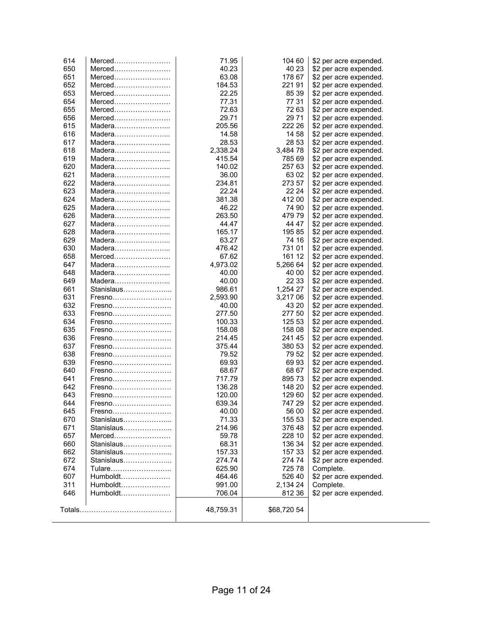| 614        | Merced               | 71.95          | 104 60          | \$2 per acre expended.                           |
|------------|----------------------|----------------|-----------------|--------------------------------------------------|
| 650        | Merced               | 40.23          | 40 23           | \$2 per acre expended.                           |
| 651        | Merced               | 63.08          | 178 67          | \$2 per acre expended.                           |
| 652        | Merced               | 184.53         | 22191           | \$2 per acre expended.                           |
| 653        | Merced               | 22.25          | 85 39           | \$2 per acre expended.                           |
| 654        | Merced               | 77.31          | 77 31           | \$2 per acre expended.                           |
| 655        | Merced               | 72.63          | 72 63           | \$2 per acre expended.                           |
| 656        | Merced               | 29.71          | 29 71           | \$2 per acre expended.                           |
| 615        | Madera               | 205.56         | 222 26          | \$2 per acre expended.                           |
| 616        | Madera               | 14.58          | 14 58           | \$2 per acre expended.                           |
| 617        | Madera               | 28.53          | 28 53           | \$2 per acre expended.                           |
| 618        | Madera               | 2,338.24       | 3,484 78        | \$2 per acre expended.                           |
| 619        | Madera               | 415.54         | 785 69          | \$2 per acre expended.                           |
| 620        |                      | 140.02         | 257 63          | \$2 per acre expended.                           |
| 621        | Madera               | 36.00          | 63 02           | \$2 per acre expended.                           |
| 622        | Madera               | 234.81         | 273 57          | \$2 per acre expended.                           |
| 623        | Madera               | 22.24          | 22 24           | \$2 per acre expended.                           |
| 624        | Madera               | 381.38         | 412 00          | \$2 per acre expended.                           |
| 625        | Madera               | 46.22          | 74 90           | \$2 per acre expended.                           |
| 626        | Madera               | 263.50         | 47979           | \$2 per acre expended.                           |
| 627        | Madera               | 44.47          | 44 47           | \$2 per acre expended.                           |
| 628        | Madera               | 165.17         | 19585           | \$2 per acre expended.                           |
| 629        | Madera               | 63.27          | 74 16           | \$2 per acre expended.                           |
| 630        |                      | 476.42         | 731 01          | \$2 per acre expended.                           |
| 658        | Merced               | 67.62          | 161 12          | \$2 per acre expended.                           |
| 647        | Madera               | 4,973.02       | 5,266 64        | \$2 per acre expended.                           |
| 648        | Madera               | 40.00          | 40 00           | \$2 per acre expended.                           |
| 649        |                      | 40.00          | 22 33           | \$2 per acre expended.                           |
| 661        | Stanislaus           | 986.61         | 1,254 27        | \$2 per acre expended.                           |
| 631        | Fresno               | 2,593.90       | 3,217 06        | \$2 per acre expended.                           |
| 632        | Fresno               | 40.00          | 43 20           | \$2 per acre expended.                           |
| 633        | Fresno               | 277.50         | 277 50          | \$2 per acre expended.                           |
| 634        | Fresno               | 100.33         | 125 53          | \$2 per acre expended.                           |
| 635        | Fresno               | 158.08         | 158 08          | \$2 per acre expended.                           |
| 636        | Fresno               | 214.45         | 241 45          | \$2 per acre expended.                           |
| 637        | Fresno               | 375.44         | 380 53          | \$2 per acre expended.                           |
| 638        | Fresno               | 79.52          | 79 52           | \$2 per acre expended.                           |
| 639        | Fresno               | 69.93          | 6993            | \$2 per acre expended.                           |
| 640        | Fresno               | 68.67          | 68 67           | \$2 per acre expended.                           |
| 641        | Fresno               | 717.79         | 89573           | \$2 per acre expended.                           |
| 642        | Fresno               | 136.28         | 148 20          | \$2 per acre expended.                           |
| 643        | Fresno               | 120.00         | 129 60          | \$2 per acre expended.                           |
| 644        | Fresno               | 639.34         | 747 29          | \$2 per acre expended.                           |
|            |                      |                |                 |                                                  |
| 645<br>670 | Stanislaus           | 40.00<br>71.33 | 56 00<br>155 53 | \$2 per acre expended.<br>\$2 per acre expended. |
| 671        | Stanislaus           | 214.96         | 37648           | \$2 per acre expended.                           |
| 657        | $Merced$             | 59.78          | 228 10          | \$2 per acre expended.                           |
| 660        | Stanislaus           | 68.31          | 136 34          | \$2 per acre expended.                           |
|            | Stanislaus           |                |                 |                                                  |
| 662<br>672 | Stanislaus           | 157.33         | 157 33          | \$2 per acre expended.                           |
|            |                      | 274.74         | 274 74          | \$2 per acre expended.                           |
| 674        | Tulare<br>Humboldt   | 625.90         | 725 78          | Complete.                                        |
| 607<br>311 |                      | 464.46         | 526 40          | \$2 per acre expended.                           |
|            | Humboldt<br>Humboldt | 991.00         | 2,134 24        | Complete.                                        |
| 646        |                      | 706.04         | 812 36          | \$2 per acre expended.                           |
|            |                      | 48,759.31      | \$68,720 54     |                                                  |
|            |                      |                |                 |                                                  |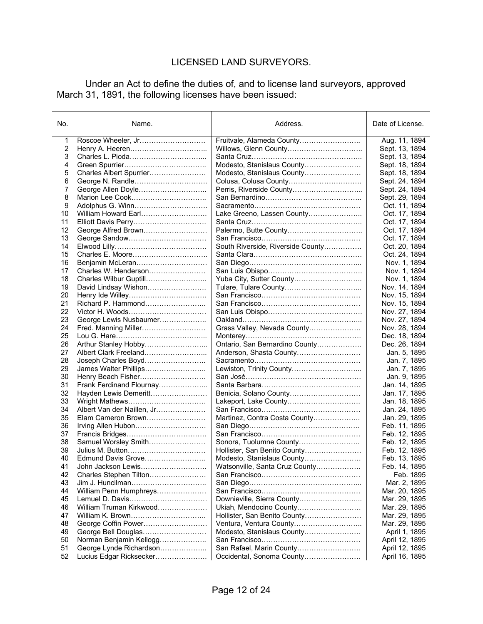## LICENSED LAND SURVEYORS.

 Under an Act to define the duties of, and to license land surveyors, approved March 31, 1891, the following licenses have been issued:

| No.      | Name.                                    | Address.                          | Date of License.               |
|----------|------------------------------------------|-----------------------------------|--------------------------------|
| 1        | Roscoe Wheeler, Jr                       | Fruitvale, Alameda County         | Aug. 11, 1894                  |
| 2        |                                          |                                   | Sept. 13, 1894                 |
| 3        |                                          |                                   | Sept. 13, 1894                 |
| 4        |                                          | Modesto, Stanislaus County        | Sept. 18, 1894                 |
| 5        | Charles Albert Spurrier                  | Modesto, Stanislaus County        | Sept. 18, 1894                 |
| 6        | George N. Randle                         |                                   | Sept. 24, 1894                 |
| 7        | George Allen Doyle                       |                                   | Sept. 24, 1894                 |
| 8        |                                          |                                   | Sept. 29, 1894                 |
| 9        |                                          |                                   | Oct. 11, 1894                  |
| 10       | William Howard Earl                      | Lake Greeno, Lassen County        | Oct. 17, 1894                  |
| 11       | Elliott Davis Perry                      |                                   | Oct. 17, 1894                  |
| 12       |                                          |                                   | Oct. 17, 1894                  |
| 13       |                                          |                                   | Oct. 17, 1894                  |
| 14       |                                          | South Riverside, Riverside County | Oct. 20, 1894                  |
| 15       |                                          |                                   | Oct. 24, 1894                  |
| 16       | Benjamin McLeran                         |                                   | Nov. 1, 1894                   |
| 17       | Charles W. Henderson                     |                                   | Nov. 1, 1894                   |
| 18       | Charles Wilbur Guptill                   | Yuba City, Sutter County          | Nov. 1, 1894                   |
| 19       | David Lindsay Wishon                     |                                   | Nov. 14, 1894                  |
| 20       |                                          |                                   | Nov. 15, 1894                  |
| 21       | Richard P. Hammond                       |                                   | Nov. 15, 1894                  |
| 22       |                                          |                                   | Nov. 27, 1894                  |
| 23       | George Lewis Nusbaumer                   |                                   | Nov. 27, 1894                  |
| 24       | Fred. Manning Miller                     | Grass Valley, Nevada County       | Nov. 28, 1894                  |
| 25       |                                          |                                   | Dec. 18, 1894                  |
| 26       |                                          | Ontario, San Bernardino County    | Dec. 26, 1894                  |
| 27       |                                          |                                   | Jan. 5, 1895                   |
| 28       | Joseph Charles Boyd                      |                                   | Jan. 7, 1895                   |
| 29       | James Walter Phillips                    |                                   | Jan. 7, 1895                   |
| 30       | Henry Beach Fisher                       |                                   | Jan. 9, 1895                   |
| 31       | Frank Ferdinand Flournay                 |                                   | Jan. 14, 1895                  |
| 32       | Hayden Lewis Demeritt                    |                                   | Jan. 17, 1895                  |
| 33       | Wright Mathews                           | Lakeport, Lake County             | Jan. 18, 1895                  |
| 34       | Albert Van der Naillen, Jr               |                                   | Jan. 24, 1895                  |
| 35       | Elam Cameron Brown                       | Martinez, Contra Costa County     | Jan. 29, 1895                  |
| 36       | Irving Allen Hubon                       |                                   | Feb. 11, 1895                  |
| 37<br>38 |                                          | Sonora, Tuolumne County           | Feb. 12, 1895                  |
| 39       | Samuel Worsley Smith<br>Julius M. Button | Hollister, San Benito County      | Feb. 12, 1895                  |
| 40       | Edmund Davis Grove                       | Modesto, Stanislaus County        | Feb. 12, 1895<br>Feb. 13, 1895 |
| 41       | John Jackson Lewis                       | Watsonville, Santa Cruz County    | Feb. 14, 1895                  |
| 42       | Charles Stephen Tilton                   |                                   | Feb. 1895                      |
| 43       | Jim J. Huncilman                         |                                   | Mar. 2, 1895                   |
| 44       | William Penn Humphreys                   |                                   | Mar. 20, 1895                  |
| 45       | Lemuel D. Davis                          | Downieville, Sierra County        | Mar. 29, 1895                  |
| 46       | William Truman Kirkwood                  | Ukiah, Mendocino County           | Mar. 29, 1895                  |
| 47       | William K. Brown                         | Hollister, San Benito County      | Mar. 29, 1895                  |
| 48       | George Coffin Power                      | Ventura, Ventura County           | Mar. 29, 1895                  |
| 49       | George Bell Douglas                      | Modesto, Stanislaus County        | April 1, 1895                  |
| 50       | Norman Benjamin Kellogg                  |                                   | April 12, 1895                 |
| 51       | George Lynde Richardson                  | San Rafael, Marin County          | April 12, 1895                 |
| 52       | Lucius Edgar Ricksecker                  | Occidental, Sonoma County         | April 16, 1895                 |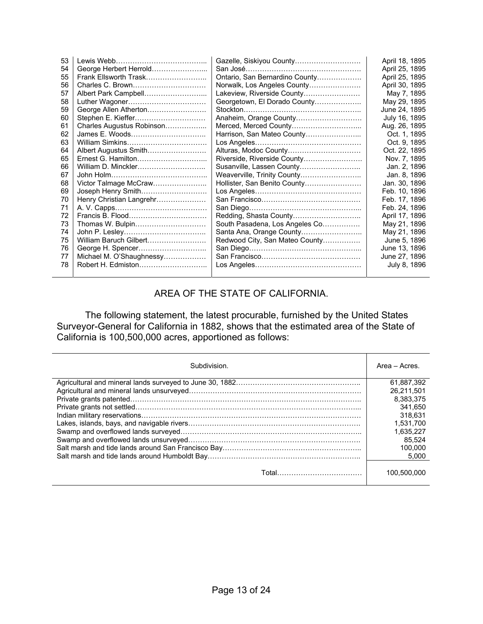| 53 |                           |                                | April 18, 1895 |
|----|---------------------------|--------------------------------|----------------|
| 54 | George Herbert Herrold    |                                | April 25, 1895 |
| 55 | Frank Ellsworth Trask     | Ontario, San Bernardino County | April 25, 1895 |
| 56 | Charles C. Brown          | Norwalk, Los Angeles County    | April 30, 1895 |
| 57 | Albert Park Campbell      | Lakeview, Riverside County     | May 7, 1895    |
| 58 | Luther Wagoner            | Georgetown, El Dorado County   | May 29, 1895   |
| 59 | George Allen Atherton     |                                | June 24, 1895  |
| 60 | Stephen E. Kieffer        | Anaheim, Orange County         | July 16, 1895  |
| 61 | Charles Augustus Robinson | Merced, Merced County          | Aug. 26, 1895  |
| 62 | James E. Woods            | Harrison, San Mateo County     | Oct. 1, 1895   |
| 63 | William Simkins           |                                | Oct. 9, 1895   |
| 64 | Albert Augustus Smith     | Alturas, Modoc County          | Oct. 22, 1895  |
| 65 | Ernest G. Hamilton        | Riverside, Riverside County    | Nov. 7, 1895   |
| 66 | William D. Minckler       | Susanville, Lassen County      | Jan. 2, 1896   |
| 67 |                           | Weaverville, Trinity County    | Jan. 8, 1896   |
| 68 | Victor Talmage McCraw     | Hollister, San Benito County   | Jan. 30, 1896  |
| 69 | Joseph Henry Smith        |                                | Feb. 10, 1896  |
| 70 | Henry Christian Langrehr  |                                | Feb. 17, 1896  |
| 71 |                           |                                | Feb. 24, 1896  |
| 72 |                           | Redding, Shasta County         | April 17, 1896 |
| 73 | Thomas W. Bulpin          | South Pasadena, Los Angeles Co | May 21, 1896   |
| 74 |                           |                                | May 21, 1896   |
| 75 | William Baruch Gilbert    | Redwood City, San Mateo County | June 5, 1896   |
| 76 |                           |                                | June 13, 1896  |
| 77 | Michael M. O'Shaughnessy  |                                | June 27, 1896  |
| 78 |                           |                                | July 8, 1896   |
|    |                           |                                |                |

### AREA OF THE STATE OF CALIFORNIA.

 The following statement, the latest procurable, furnished by the United States Surveyor-General for California in 1882, shows that the estimated area of the State of California is 100,500,000 acres, apportioned as follows:

| Subdivision.       | Area - Acres. |
|--------------------|---------------|
|                    | 61.887.392    |
|                    | 26.211.501    |
|                    | 8.383.375     |
|                    | 341.650       |
|                    | 318.631       |
|                    | 1.531.700     |
|                    | 1.635.227     |
|                    | 85.524        |
|                    | 100.000       |
|                    | 5.000         |
| Total………………………………… | 100,500,000   |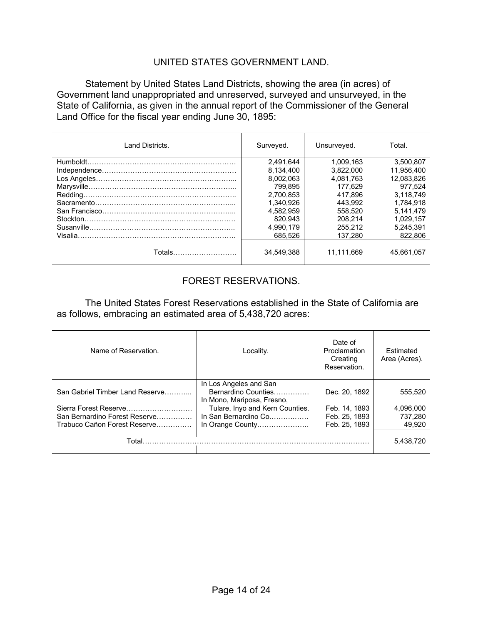#### UNITED STATES GOVERNMENT LAND.

 Statement by United States Land Districts, showing the area (in acres) of Government land unappropriated and unreserved, surveyed and unsurveyed, in the State of California, as given in the annual report of the Commissioner of the General Land Office for the fiscal year ending June 30, 1895:

| Land Districts. | Surveyed.  | Unsurveyed. | Total.     |
|-----------------|------------|-------------|------------|
|                 | 2.491.644  | 1.009.163   | 3.500.807  |
|                 | 8.134.400  | 3.822.000   | 11.956.400 |
|                 | 8.002.063  | 4.081.763   | 12.083.826 |
|                 | 799.895    | 177.629     | 977.524    |
|                 | 2.700.853  | 417.896     | 3.118.749  |
|                 | 1.340.926  | 443.992     | 1.784.918  |
|                 | 4.582.959  | 558.520     | 5.141.479  |
|                 | 820.943    | 208.214     | 1.029.157  |
|                 | 4.990.179  | 255.212     | 5.245.391  |
|                 | 685.526    | 137.280     | 822,806    |
| Totals          | 34.549.388 | 11.111.669  | 45.661.057 |

### FOREST RESERVATIONS.

 The United States Forest Reservations established in the State of California are as follows, embracing an estimated area of 5,438,720 acres:

| Name of Reservation.                                                                                                      | Locality.                                                                                                                                                  | Date of<br>Proclamation<br>Creating<br>Reservation.              | <b>Fstimated</b><br>Area (Acres).         |
|---------------------------------------------------------------------------------------------------------------------------|------------------------------------------------------------------------------------------------------------------------------------------------------------|------------------------------------------------------------------|-------------------------------------------|
| San Gabriel Timber Land Reserve<br>Sierra Forest Reserve<br>San Bernardino Forest Reserve<br>Trabuco Cañon Forest Reserve | In Los Angeles and San<br>Bernardino Counties<br>In Mono, Mariposa, Fresno,<br>Tulare, Inyo and Kern Counties.<br>In San Bernardino Co<br>In Orange County | Dec. 20, 1892<br>Feb. 14, 1893<br>Feb. 25, 1893<br>Feb. 25, 1893 | 555.520<br>4,096,000<br>737.280<br>49.920 |
| Total.                                                                                                                    |                                                                                                                                                            |                                                                  | 5,438,720                                 |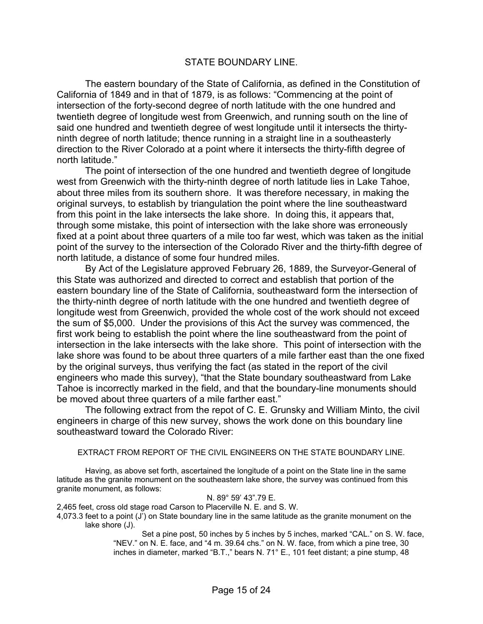#### STATE BOUNDARY LINE.

 The eastern boundary of the State of California, as defined in the Constitution of California of 1849 and in that of 1879, is as follows: "Commencing at the point of intersection of the forty-second degree of north latitude with the one hundred and twentieth degree of longitude west from Greenwich, and running south on the line of said one hundred and twentieth degree of west longitude until it intersects the thirtyninth degree of north latitude; thence running in a straight line in a southeasterly direction to the River Colorado at a point where it intersects the thirty-fifth degree of north latitude."

 The point of intersection of the one hundred and twentieth degree of longitude west from Greenwich with the thirty-ninth degree of north latitude lies in Lake Tahoe, about three miles from its southern shore. It was therefore necessary, in making the original surveys, to establish by triangulation the point where the line southeastward from this point in the lake intersects the lake shore. In doing this, it appears that, through some mistake, this point of intersection with the lake shore was erroneously fixed at a point about three quarters of a mile too far west, which was taken as the initial point of the survey to the intersection of the Colorado River and the thirty-fifth degree of north latitude, a distance of some four hundred miles.

 By Act of the Legislature approved February 26, 1889, the Surveyor-General of this State was authorized and directed to correct and establish that portion of the eastern boundary line of the State of California, southeastward form the intersection of the thirty-ninth degree of north latitude with the one hundred and twentieth degree of longitude west from Greenwich, provided the whole cost of the work should not exceed the sum of \$5,000. Under the provisions of this Act the survey was commenced, the first work being to establish the point where the line southeastward from the point of intersection in the lake intersects with the lake shore. This point of intersection with the lake shore was found to be about three quarters of a mile farther east than the one fixed by the original surveys, thus verifying the fact (as stated in the report of the civil engineers who made this survey), "that the State boundary southeastward from Lake Tahoe is incorrectly marked in the field, and that the boundary-line monuments should be moved about three quarters of a mile farther east."

 The following extract from the repot of C. E. Grunsky and William Minto, the civil engineers in charge of this new survey, shows the work done on this boundary line southeastward toward the Colorado River:

#### EXTRACT FROM REPORT OF THE CIVIL ENGINEERS ON THE STATE BOUNDARY LINE.

 Having, as above set forth, ascertained the longitude of a point on the State line in the same latitude as the granite monument on the southeastern lake shore, the survey was continued from this granite monument, as follows:

#### N. 89° 59' 43".79 E.

2,465 feet, cross old stage road Carson to Placerville N. E. and S. W.

4,073.3 feet to a point (J') on State boundary line in the same latitude as the granite monument on the lake shore (J).

Set a pine post, 50 inches by 5 inches by 5 inches, marked "CAL." on S. W. face, "NEV." on N. E. face, and "4 m. 39.64 chs." on N. W. face, from which a pine tree, 30 inches in diameter, marked "B.T.," bears N. 71° E., 101 feet distant; a pine stump, 48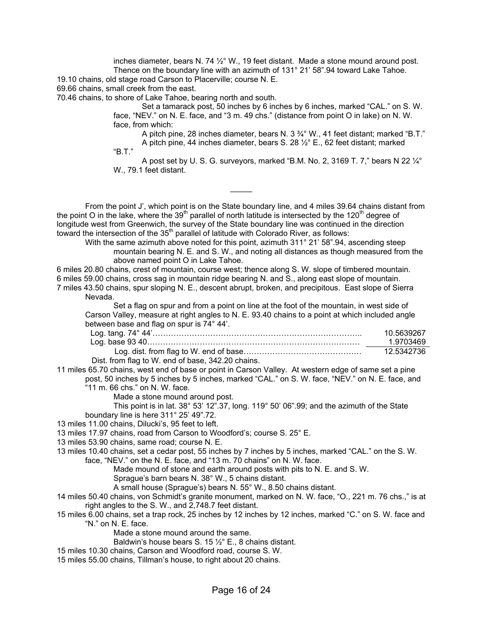inches diameter, bears N. 74 ½° W., 19 feet distant. Made a stone mound around post. Thence on the boundary line with an azimuth of 131° 21' 58".94 toward Lake Tahoe. 19.10 chains, old stage road Carson to Placerville; course N. E.

69.66 chains, small creek from the east.

70.46 chains, to shore of Lake Tahoe, bearing north and south.

Set a tamarack post, 50 inches by 6 inches by 6 inches, marked "CAL." on S. W. face, "NEV." on N. E. face, and "3 m. 49 chs." (distance from point O in lake) on N. W. face, from which:

A pitch pine, 28 inches diameter, bears N. 3 ¾° W., 41 feet distant; marked "B.T." A pitch pine, 44 inches diameter, bears S. 28 ½° E., 62 feet distant; marked

"B.T."

A post set by U. S. G. surveyors, marked "B.M. No. 2, 3169 T. 7," bears N 22  $\frac{1}{4}^{\circ}$ W., 79.1 feet distant.

 From the point J', which point is on the State boundary line, and 4 miles 39.64 chains distant from the point O in the lake, where the 39<sup>th</sup> parallel of north latitude is intersected by the 120<sup>th</sup> degree of longitude west from Greenwich, the survey of the State boundary line was continued in the direction toward the intersection of the 35th parallel of latitude with Colorado River, as follows:

 $\mathcal{L}=\mathcal{L}$ 

With the same azimuth above noted for this point, azimuth 311° 21' 58".94, ascending steep mountain bearing N. E. and S. W., and noting all distances as though measured from the above named point O in Lake Tahoe.

6 miles 20.80 chains, crest of mountain, course west; thence along S. W. slope of timbered mountain. 6 miles 59.00 chains, cross sag in mountain ridge bearing N. and S., along east slope of mountain. 7 miles 43.50 chains, spur sloping N. E., descent abrupt, broken, and precipitous. East slope of Sierra Nevada.

Set a flag on spur and from a point on line at the foot of the mountain, in west side of Carson Valley, measure at right angles to N. E. 93.40 chains to a point at which included angle between base and flag on spur is 74° 44'.

|                                                   | 10.5639267 |
|---------------------------------------------------|------------|
|                                                   | 1.9703469  |
|                                                   | 12.5342736 |
| Dist. from flag to W. end of base, 342.20 chains. |            |

11 miles 65.70 chains, west end of base or point in Carson Valley. At western edge of same set a pine post, 50 inches by 5 inches by 5 inches, marked "CAL." on S. W. face, "NEV." on N. E. face, and

- "11 m. 66 chs." on N. W. face.
	- Made a stone mound around post.

 This point is in lat. 38° 53' 12".37, long. 119° 50' 06".99; and the azimuth of the State boundary line is here 311° 25' 49".72.

13 miles 11.00 chains, Dilucki's, 95 feet to left.

13 miles 17.97 chains, road from Carson to Woodford's; course S. 25° E.

13 miles 53.90 chains, same road; course N. E.

13 miles 10.40 chains, set a cedar post, 55 inches by 7 inches by 5 inches, marked "CAL." on the S. W.

face, "NEV." on the N. E. face, and "13 m. 70 chains" on N. W. face.

Made mound of stone and earth around posts with pits to N. E. and S. W.

Sprague's barn bears N. 38° W., 5 chains distant.

A small house (Sprague's) bears N. 55° W., 8.50 chains distant.

- 14 miles 50.40 chains, von Schmidt's granite monument, marked on N. W. face, "O., 221 m. 76 chs.," is at right angles to the S. W., and 2,748.7 feet distant.
- 15 miles 6.00 chains, set a trap rock, 25 inches by 12 inches by 12 inches, marked "C." on S. W. face and "N." on N. E. face.

Made a stone mound around the same.

Baldwin's house bears S. 15 ½° E., 8 chains distant.

- 15 miles 10.30 chains, Carson and Woodford road, course S. W.
- 15 miles 55.00 chains, Tillman's house, to right about 20 chains.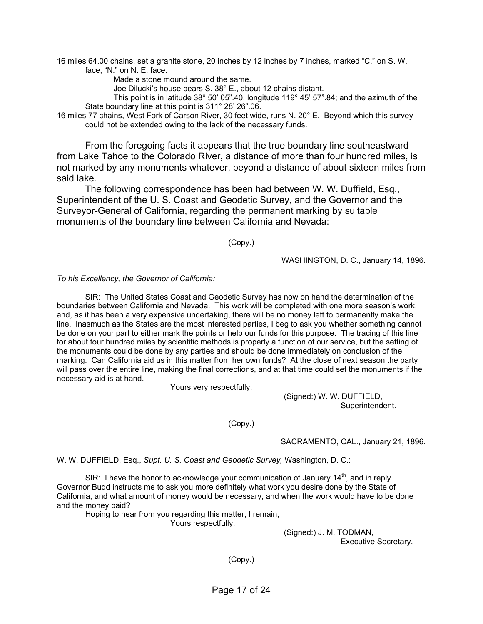16 miles 64.00 chains, set a granite stone, 20 inches by 12 inches by 7 inches, marked "C." on S. W. face, "N." on N. E. face.

Made a stone mound around the same.

Joe Dilucki's house bears S. 38° E., about 12 chains distant.

 This point is in latitude 38° 50' 05".40, longitude 119° 45' 57".84; and the azimuth of the State boundary line at this point is 311° 28' 26".06.

16 miles 77 chains, West Fork of Carson River, 30 feet wide, runs N. 20° E. Beyond which this survey could not be extended owing to the lack of the necessary funds.

 From the foregoing facts it appears that the true boundary line southeastward from Lake Tahoe to the Colorado River, a distance of more than four hundred miles, is not marked by any monuments whatever, beyond a distance of about sixteen miles from said lake.

 The following correspondence has been had between W. W. Duffield, Esq., Superintendent of the U. S. Coast and Geodetic Survey, and the Governor and the Surveyor-General of California, regarding the permanent marking by suitable monuments of the boundary line between California and Nevada:

(Copy.)

WASHINGTON, D. C., January 14, 1896.

#### *To his Excellency, the Governor of California:*

 SIR: The United States Coast and Geodetic Survey has now on hand the determination of the boundaries between California and Nevada. This work will be completed with one more season's work, and, as it has been a very expensive undertaking, there will be no money left to permanently make the line. Inasmuch as the States are the most interested parties, I beg to ask you whether something cannot be done on your part to either mark the points or help our funds for this purpose. The tracing of this line for about four hundred miles by scientific methods is properly a function of our service, but the setting of the monuments could be done by any parties and should be done immediately on conclusion of the marking. Can California aid us in this matter from her own funds? At the close of next season the party will pass over the entire line, making the final corrections, and at that time could set the monuments if the necessary aid is at hand.

Yours very respectfully,

 (Signed:) W. W. DUFFIELD, Superintendent.

(Copy.)

SACRAMENTO, CAL., January 21, 1896.

W. W. DUFFIELD, Esq., *Supt. U. S. Coast and Geodetic Survey,* Washington, D. C.:

SIR: I have the honor to acknowledge your communication of January  $14<sup>th</sup>$ , and in reply Governor Budd instructs me to ask you more definitely what work you desire done by the State of California, and what amount of money would be necessary, and when the work would have to be done and the money paid?

Hoping to hear from you regarding this matter, I remain,

Yours respectfully,

 (Signed:) J. M. TODMAN, Executive Secretary.

(Copy.)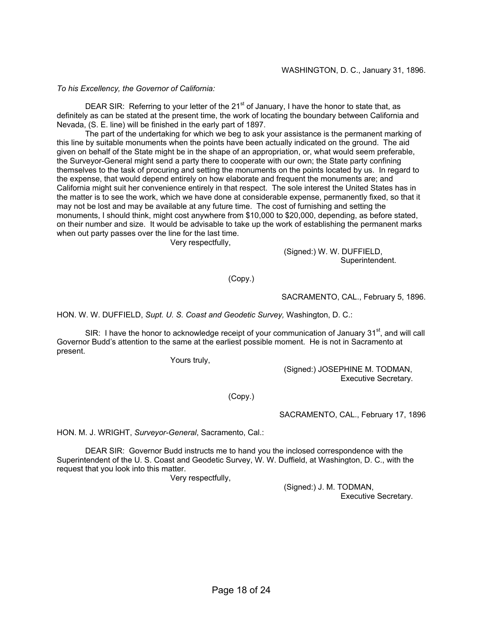*To his Excellency, the Governor of California:* 

DEAR SIR: Referring to your letter of the 21<sup>st</sup> of January, I have the honor to state that, as definitely as can be stated at the present time, the work of locating the boundary between California and Nevada, (S. E. line) will be finished in the early part of 1897.

 The part of the undertaking for which we beg to ask your assistance is the permanent marking of this line by suitable monuments when the points have been actually indicated on the ground. The aid given on behalf of the State might be in the shape of an appropriation, or, what would seem preferable, the Surveyor-General might send a party there to cooperate with our own; the State party confining themselves to the task of procuring and setting the monuments on the points located by us. In regard to the expense, that would depend entirely on how elaborate and frequent the monuments are; and California might suit her convenience entirely in that respect. The sole interest the United States has in the matter is to see the work, which we have done at considerable expense, permanently fixed, so that it may not be lost and may be available at any future time. The cost of furnishing and setting the monuments, I should think, might cost anywhere from \$10,000 to \$20,000, depending, as before stated, on their number and size. It would be advisable to take up the work of establishing the permanent marks when out party passes over the line for the last time.

Very respectfully,

 (Signed:) W. W. DUFFIELD, Superintendent.

(Copy.)

SACRAMENTO, CAL., February 5, 1896.

HON. W. W. DUFFIELD, *Supt. U. S. Coast and Geodetic Survey,* Washington, D. C.:

SIR: I have the honor to acknowledge receipt of your communication of January  $31<sup>st</sup>$ , and will call Governor Budd's attention to the same at the earliest possible moment. He is not in Sacramento at present.

Yours truly,

 (Signed:) JOSEPHINE M. TODMAN, Executive Secretary.

(Copy.)

SACRAMENTO, CAL., February 17, 1896

HON. M. J. WRIGHT, *Surveyor-General*, Sacramento, Cal.:

 DEAR SIR: Governor Budd instructs me to hand you the inclosed correspondence with the Superintendent of the U. S. Coast and Geodetic Survey, W. W. Duffield, at Washington, D. C., with the request that you look into this matter.

Very respectfully,

 (Signed:) J. M. TODMAN, Executive Secretary.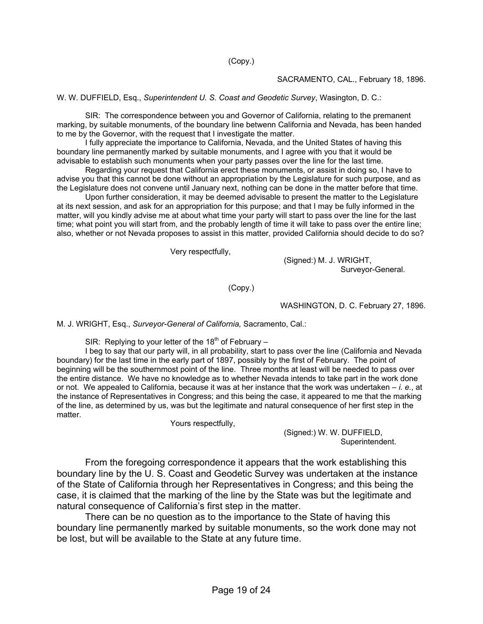(Copy.)

SACRAMENTO, CAL., February 18, 1896.

W. W. DUFFIELD, Esq., *Superintendent U. S. Coast and Geodetic Survey*, Wasington, D. C.:

 SIR: The correspondence between you and Governor of California, relating to the premanent marking, by suitable monuments, of the boundary line betwenn California and Nevada, has been handed to me by the Governor, with the request that I investigate the matter.

 I fully appreciate the importance to California, Nevada, and the United States of having this boundary line permanently marked by suitable monuments, and I agree with you that it would be advisable to establish such monuments when your party passes over the line for the last time.

 Regarding your request that California erect these monuments, or assist in doing so, I have to advise you that this cannot be done without an appropriation by the Legislature for such purpose, and as the Legislature does not convene until January next, nothing can be done in the matter before that time.

 Upon further consideration, it may be deemed advisable to present the matter to the Legislature at its next session, and ask for an appropriation for this purpose; and that I may be fully informed in the matter, will you kindly advise me at about what time your party will start to pass over the line for the last time; what point you will start from, and the probably length of time it will take to pass over the entire line; also, whether or not Nevada proposes to assist in this matter, provided California should decide to do so?

Very respectfully,

 (Signed:) M. J. WRIGHT, Surveyor-General.

(Copy.)

WASHINGTON, D. C. February 27, 1896.

M. J. WRIGHT, Esq., *Surveyor-General of California,* Sacramento, Cal.:

SIR: Replying to your letter of the 18<sup>th</sup> of February  $-$ 

 I beg to say that our party will, in all probability, start to pass over the line (California and Nevada boundary) for the last time in the early part of 1897, possibly by the first of February. The point of beginning will be the southernmost point of the line. Three months at least will be needed to pass over the entire distance. We have no knowledge as to whether Nevada intends to take part in the work done or not. We appealed to California, because it was at her instance that the work was undertaken – *i. e.*, at the instance of Representatives in Congress; and this being the case, it appeared to me that the marking of the line, as determined by us, was but the legitimate and natural consequence of her first step in the matter.

Yours respectfully,

 (Signed:) W. W. DUFFIELD, Superintendent.

 From the foregoing correspondence it appears that the work establishing this boundary line by the U. S. Coast and Geodetic Survey was undertaken at the instance of the State of California through her Representatives in Congress; and this being the case, it is claimed that the marking of the line by the State was but the legitimate and natural consequence of California's first step in the matter.

 There can be no question as to the importance to the State of having this boundary line permanently marked by suitable monuments, so the work done may not be lost, but will be available to the State at any future time.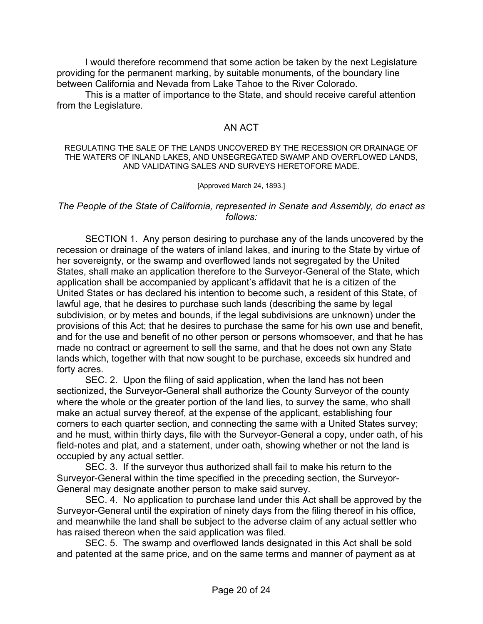I would therefore recommend that some action be taken by the next Legislature providing for the permanent marking, by suitable monuments, of the boundary line between California and Nevada from Lake Tahoe to the River Colorado.

 This is a matter of importance to the State, and should receive careful attention from the Legislature.

#### AN ACT

#### REGULATING THE SALE OF THE LANDS UNCOVERED BY THE RECESSION OR DRAINAGE OF THE WATERS OF INLAND LAKES, AND UNSEGREGATED SWAMP AND OVERFLOWED LANDS, AND VALIDATING SALES AND SURVEYS HERETOFORE MADE.

[Approved March 24, 1893.]

#### *The People of the State of California, represented in Senate and Assembly, do enact as follows:*

 SECTION 1. Any person desiring to purchase any of the lands uncovered by the recession or drainage of the waters of inland lakes, and inuring to the State by virtue of her sovereignty, or the swamp and overflowed lands not segregated by the United States, shall make an application therefore to the Surveyor-General of the State, which application shall be accompanied by applicant's affidavit that he is a citizen of the United States or has declared his intention to become such, a resident of this State, of lawful age, that he desires to purchase such lands (describing the same by legal subdivision, or by metes and bounds, if the legal subdivisions are unknown) under the provisions of this Act; that he desires to purchase the same for his own use and benefit, and for the use and benefit of no other person or persons whomsoever, and that he has made no contract or agreement to sell the same, and that he does not own any State lands which, together with that now sought to be purchase, exceeds six hundred and forty acres.

 SEC. 2. Upon the filing of said application, when the land has not been sectionized, the Surveyor-General shall authorize the County Surveyor of the county where the whole or the greater portion of the land lies, to survey the same, who shall make an actual survey thereof, at the expense of the applicant, establishing four corners to each quarter section, and connecting the same with a United States survey; and he must, within thirty days, file with the Surveyor-General a copy, under oath, of his field-notes and plat, and a statement, under oath, showing whether or not the land is occupied by any actual settler.

 SEC. 3. If the surveyor thus authorized shall fail to make his return to the Surveyor-General within the time specified in the preceding section, the Surveyor-General may designate another person to make said survey.

 SEC. 4. No application to purchase land under this Act shall be approved by the Surveyor-General until the expiration of ninety days from the filing thereof in his office, and meanwhile the land shall be subject to the adverse claim of any actual settler who has raised thereon when the said application was filed.

 SEC. 5. The swamp and overflowed lands designated in this Act shall be sold and patented at the same price, and on the same terms and manner of payment as at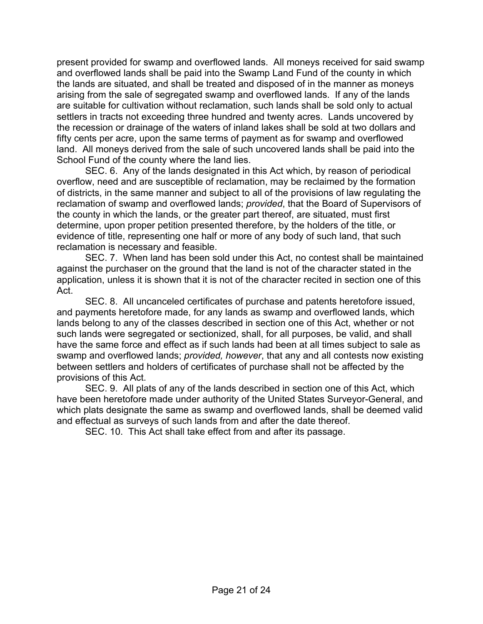present provided for swamp and overflowed lands. All moneys received for said swamp and overflowed lands shall be paid into the Swamp Land Fund of the county in which the lands are situated, and shall be treated and disposed of in the manner as moneys arising from the sale of segregated swamp and overflowed lands. If any of the lands are suitable for cultivation without reclamation, such lands shall be sold only to actual settlers in tracts not exceeding three hundred and twenty acres. Lands uncovered by the recession or drainage of the waters of inland lakes shall be sold at two dollars and fifty cents per acre, upon the same terms of payment as for swamp and overflowed land. All moneys derived from the sale of such uncovered lands shall be paid into the School Fund of the county where the land lies.

 SEC. 6. Any of the lands designated in this Act which, by reason of periodical overflow, need and are susceptible of reclamation, may be reclaimed by the formation of districts, in the same manner and subject to all of the provisions of law regulating the reclamation of swamp and overflowed lands; *provided*, that the Board of Supervisors of the county in which the lands, or the greater part thereof, are situated, must first determine, upon proper petition presented therefore, by the holders of the title, or evidence of title, representing one half or more of any body of such land, that such reclamation is necessary and feasible.

 SEC. 7. When land has been sold under this Act, no contest shall be maintained against the purchaser on the ground that the land is not of the character stated in the application, unless it is shown that it is not of the character recited in section one of this Act.

 SEC. 8. All uncanceled certificates of purchase and patents heretofore issued, and payments heretofore made, for any lands as swamp and overflowed lands, which lands belong to any of the classes described in section one of this Act, whether or not such lands were segregated or sectionized, shall, for all purposes, be valid, and shall have the same force and effect as if such lands had been at all times subject to sale as swamp and overflowed lands; *provided, however*, that any and all contests now existing between settlers and holders of certificates of purchase shall not be affected by the provisions of this Act.

 SEC. 9. All plats of any of the lands described in section one of this Act, which have been heretofore made under authority of the United States Surveyor-General, and which plats designate the same as swamp and overflowed lands, shall be deemed valid and effectual as surveys of such lands from and after the date thereof.

SEC. 10. This Act shall take effect from and after its passage.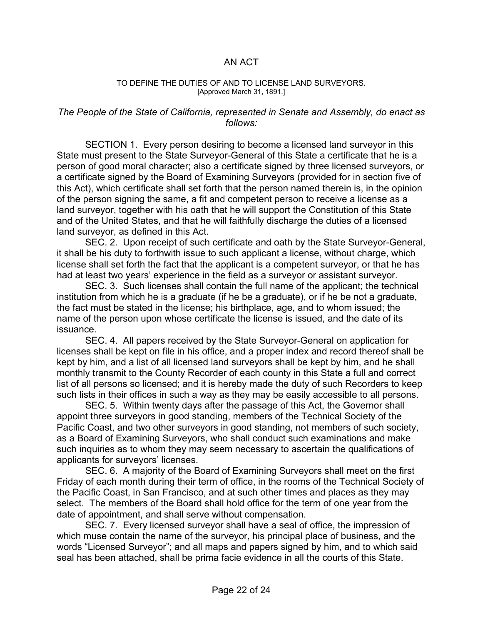#### AN ACT

#### TO DEFINE THE DUTIES OF AND TO LICENSE LAND SURVEYORS. [Approved March 31, 1891.]

#### *The People of the State of California, represented in Senate and Assembly, do enact as follows:*

 SECTION 1. Every person desiring to become a licensed land surveyor in this State must present to the State Surveyor-General of this State a certificate that he is a person of good moral character; also a certificate signed by three licensed surveyors, or a certificate signed by the Board of Examining Surveyors (provided for in section five of this Act), which certificate shall set forth that the person named therein is, in the opinion of the person signing the same, a fit and competent person to receive a license as a land surveyor, together with his oath that he will support the Constitution of this State and of the United States, and that he will faithfully discharge the duties of a licensed land surveyor, as defined in this Act.

 SEC. 2. Upon receipt of such certificate and oath by the State Surveyor-General, it shall be his duty to forthwith issue to such applicant a license, without charge, which license shall set forth the fact that the applicant is a competent surveyor, or that he has had at least two years' experience in the field as a surveyor or assistant surveyor.

 SEC. 3. Such licenses shall contain the full name of the applicant; the technical institution from which he is a graduate (if he be a graduate), or if he be not a graduate, the fact must be stated in the license; his birthplace, age, and to whom issued; the name of the person upon whose certificate the license is issued, and the date of its issuance.

 SEC. 4. All papers received by the State Surveyor-General on application for licenses shall be kept on file in his office, and a proper index and record thereof shall be kept by him, and a list of all licensed land surveyors shall be kept by him, and he shall monthly transmit to the County Recorder of each county in this State a full and correct list of all persons so licensed; and it is hereby made the duty of such Recorders to keep such lists in their offices in such a way as they may be easily accessible to all persons.

 SEC. 5. Within twenty days after the passage of this Act, the Governor shall appoint three surveyors in good standing, members of the Technical Society of the Pacific Coast, and two other surveyors in good standing, not members of such society, as a Board of Examining Surveyors, who shall conduct such examinations and make such inquiries as to whom they may seem necessary to ascertain the qualifications of applicants for surveyors' licenses.

 SEC. 6. A majority of the Board of Examining Surveyors shall meet on the first Friday of each month during their term of office, in the rooms of the Technical Society of the Pacific Coast, in San Francisco, and at such other times and places as they may select. The members of the Board shall hold office for the term of one year from the date of appointment, and shall serve without compensation.

 SEC. 7. Every licensed surveyor shall have a seal of office, the impression of which muse contain the name of the surveyor, his principal place of business, and the words "Licensed Surveyor"; and all maps and papers signed by him, and to which said seal has been attached, shall be prima facie evidence in all the courts of this State.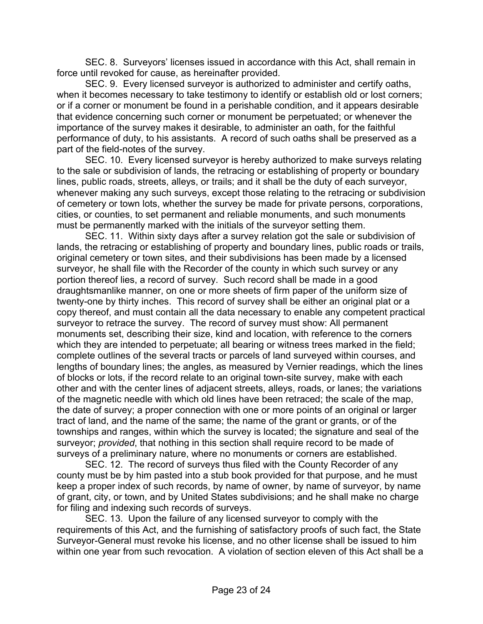SEC. 8. Surveyors' licenses issued in accordance with this Act, shall remain in force until revoked for cause, as hereinafter provided.

 SEC. 9. Every licensed surveyor is authorized to administer and certify oaths, when it becomes necessary to take testimony to identify or establish old or lost corners; or if a corner or monument be found in a perishable condition, and it appears desirable that evidence concerning such corner or monument be perpetuated; or whenever the importance of the survey makes it desirable, to administer an oath, for the faithful performance of duty, to his assistants. A record of such oaths shall be preserved as a part of the field-notes of the survey.

 SEC. 10. Every licensed surveyor is hereby authorized to make surveys relating to the sale or subdivision of lands, the retracing or establishing of property or boundary lines, public roads, streets, alleys, or trails; and it shall be the duty of each surveyor, whenever making any such surveys, except those relating to the retracing or subdivision of cemetery or town lots, whether the survey be made for private persons, corporations, cities, or counties, to set permanent and reliable monuments, and such monuments must be permanently marked with the initials of the surveyor setting them.

 SEC. 11. Within sixty days after a survey relation got the sale or subdivision of lands, the retracing or establishing of property and boundary lines, public roads or trails, original cemetery or town sites, and their subdivisions has been made by a licensed surveyor, he shall file with the Recorder of the county in which such survey or any portion thereof lies, a record of survey. Such record shall be made in a good draughtsmanlike manner, on one or more sheets of firm paper of the uniform size of twenty-one by thirty inches. This record of survey shall be either an original plat or a copy thereof, and must contain all the data necessary to enable any competent practical surveyor to retrace the survey. The record of survey must show: All permanent monuments set, describing their size, kind and location, with reference to the corners which they are intended to perpetuate; all bearing or witness trees marked in the field; complete outlines of the several tracts or parcels of land surveyed within courses, and lengths of boundary lines; the angles, as measured by Vernier readings, which the lines of blocks or lots, if the record relate to an original town-site survey, make with each other and with the center lines of adjacent streets, alleys, roads, or lanes; the variations of the magnetic needle with which old lines have been retraced; the scale of the map, the date of survey; a proper connection with one or more points of an original or larger tract of land, and the name of the same; the name of the grant or grants, or of the townships and ranges, within which the survey is located; the signature and seal of the surveyor; *provided*, that nothing in this section shall require record to be made of surveys of a preliminary nature, where no monuments or corners are established.

 SEC. 12. The record of surveys thus filed with the County Recorder of any county must be by him pasted into a stub book provided for that purpose, and he must keep a proper index of such records, by name of owner, by name of surveyor, by name of grant, city, or town, and by United States subdivisions; and he shall make no charge for filing and indexing such records of surveys.

 SEC. 13. Upon the failure of any licensed surveyor to comply with the requirements of this Act, and the furnishing of satisfactory proofs of such fact, the State Surveyor-General must revoke his license, and no other license shall be issued to him within one year from such revocation. A violation of section eleven of this Act shall be a